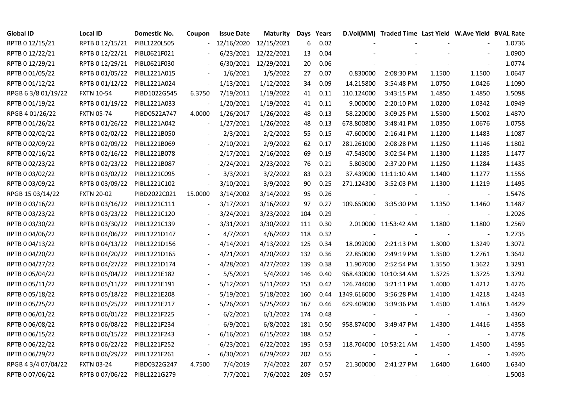| <b>Global ID</b>    | Local ID          | Domestic No. | Coupon                   | <b>Issue Date</b> | Maturity             |     | Days Years |                          | D.Vol(MM) Traded Time Last Yield W.Ave Yield BVAL Rate |        |                |        |
|---------------------|-------------------|--------------|--------------------------|-------------------|----------------------|-----|------------|--------------------------|--------------------------------------------------------|--------|----------------|--------|
| RPTB 0 12/15/21     | RPTB 0 12/15/21   | PIBL1220L505 |                          | 12/16/2020        | 12/15/2021           | 6   | 0.02       |                          |                                                        |        |                | 1.0736 |
| RPTB 0 12/22/21     | RPTB 0 12/22/21   | PIBL0621F021 |                          |                   | 6/23/2021 12/22/2021 | 13  | 0.04       |                          |                                                        |        |                | 1.0900 |
| RPTB 0 12/29/21     | RPTB 0 12/29/21   | PIBL0621F030 |                          |                   | 6/30/2021 12/29/2021 | 20  | 0.06       |                          |                                                        |        |                | 1.0774 |
| RPTB 0 01/05/22     | RPTB 0 01/05/22   | PIBL1221A015 |                          | 1/6/2021          | 1/5/2022             | 27  | 0.07       | 0.830000                 | 2:08:30 PM                                             | 1.1500 | 1.1500         | 1.0647 |
| RPTB 0 01/12/22     | RPTB 0 01/12/22   | PIBL1221A024 | $\overline{\phantom{a}}$ | 1/13/2021         | 1/12/2022            | 34  | 0.09       | 14.215800                | 3:54:48 PM                                             | 1.0750 | 1.0426         | 1.1090 |
| RPGB 63/8 01/19/22  | <b>FXTN 10-54</b> | PIBD1022G545 | 6.3750                   | 7/19/2011         | 1/19/2022            | 41  | 0.11       | 110.124000               | 3:43:15 PM                                             | 1.4850 | 1.4850         | 1.5098 |
| RPTB 0 01/19/22     | RPTB 0 01/19/22   | PIBL1221A033 | $\overline{\phantom{a}}$ | 1/20/2021         | 1/19/2022            | 41  | 0.11       | 9.000000                 | 2:20:10 PM                                             | 1.0200 | 1.0342         | 1.0949 |
| RPGB 4 01/26/22     | <b>FXTN 05-74</b> | PIBD0522A747 | 4.0000                   | 1/26/2017         | 1/26/2022            | 48  | 0.13       | 58.220000                | 3:09:25 PM                                             | 1.5500 | 1.5002         | 1.4870 |
| RPTB 0 01/26/22     | RPTB 0 01/26/22   | PIBL1221A042 |                          | 1/27/2021         | 1/26/2022            | 48  | 0.13       | 678.800800               | 3:48:41 PM                                             | 1.0350 | 1.0676         | 1.0758 |
| RPTB 0 02/02/22     | RPTB 0 02/02/22   | PIBL1221B050 |                          | 2/3/2021          | 2/2/2022             | 55  | 0.15       | 47.600000                | 2:16:41 PM                                             | 1.1200 | 1.1483         | 1.1087 |
| RPTB 0 02/09/22     | RPTB 0 02/09/22   | PIBL1221B069 | $\overline{\phantom{a}}$ | 2/10/2021         | 2/9/2022             | 62  | 0.17       | 281.261000               | 2:08:28 PM                                             | 1.1250 | 1.1146         | 1.1802 |
| RPTB 0 02/16/22     | RPTB 0 02/16/22   | PIBL1221B078 |                          | 2/17/2021         | 2/16/2022            | 69  | 0.19       | 47.543000                | 3:02:54 PM                                             | 1.1300 | 1.1285         | 1.1477 |
| RPTB 0 02/23/22     | RPTB 0 02/23/22   | PIBL1221B087 |                          | 2/24/2021         | 2/23/2022            | 76  | 0.21       | 5.803000                 | 2:37:20 PM                                             | 1.1250 | 1.1284         | 1.1435 |
| RPTB 0 03/02/22     | RPTB 0 03/02/22   | PIBL1221C095 |                          | 3/3/2021          | 3/2/2022             | 83  | 0.23       |                          | 37.439000 11:11:10 AM                                  | 1.1400 | 1.1277         | 1.1556 |
| RPTB 0 03/09/22     | RPTB 0 03/09/22   | PIBL1221C102 | $\overline{\phantom{a}}$ | 3/10/2021         | 3/9/2022             | 90  | 0.25       | 271.124300               | 3:52:03 PM                                             | 1.1300 | 1.1219         | 1.1495 |
| RPGB 15 03/14/22    | <b>FXTN 20-02</b> | PIBD2022C021 | 15.0000                  | 3/14/2002         | 3/14/2022            | 95  | 0.26       |                          |                                                        |        |                | 1.5476 |
| RPTB 0 03/16/22     | RPTB 0 03/16/22   | PIBL1221C111 |                          | 3/17/2021         | 3/16/2022            | 97  | 0.27       | 109.650000               | 3:35:30 PM                                             | 1.1350 | 1.1460         | 1.1487 |
| RPTB 0 03/23/22     | RPTB 0 03/23/22   | PIBL1221C120 | $\overline{\phantom{a}}$ | 3/24/2021         | 3/23/2022            | 104 | 0.29       |                          |                                                        |        |                | 1.2026 |
| RPTB 0 03/30/22     | RPTB 0 03/30/22   | PIBL1221C139 |                          | 3/31/2021         | 3/30/2022            | 111 | 0.30       |                          | 2.010000 11:53:42 AM                                   | 1.1800 | 1.1800         | 1.2569 |
| RPTB 0 04/06/22     | RPTB 0 04/06/22   | PIBL1221D147 |                          | 4/7/2021          | 4/6/2022             | 118 | 0.32       |                          |                                                        |        | $\blacksquare$ | 1.2735 |
| RPTB 0 04/13/22     | RPTB 0 04/13/22   | PIBL1221D156 |                          | 4/14/2021         | 4/13/2022            | 125 | 0.34       | 18.092000                | 2:21:13 PM                                             | 1.3000 | 1.3249         | 1.3072 |
| RPTB 0 04/20/22     | RPTB 0 04/20/22   | PIBL1221D165 |                          | 4/21/2021         | 4/20/2022            | 132 | 0.36       | 22.850000                | 2:49:19 PM                                             | 1.3500 | 1.2761         | 1.3642 |
| RPTB 0 04/27/22     | RPTB 0 04/27/22   | PIBL1221D174 |                          | 4/28/2021         | 4/27/2022            | 139 | 0.38       | 11.907000                | 2:52:54 PM                                             | 1.3550 | 1.3622         | 1.3291 |
| RPTB 0 05/04/22     | RPTB 0 05/04/22   | PIBL1221E182 |                          | 5/5/2021          | 5/4/2022             | 146 | 0.40       |                          | 968.430000 10:10:34 AM                                 | 1.3725 | 1.3725         | 1.3792 |
| RPTB 0 05/11/22     | RPTB 0 05/11/22   | PIBL1221E191 | $\overline{\phantom{a}}$ | 5/12/2021         | 5/11/2022            | 153 | 0.42       | 126.744000               | 3:21:11 PM                                             | 1.4000 | 1.4212         | 1.4276 |
| RPTB 0 05/18/22     | RPTB 0 05/18/22   | PIBL1221E208 |                          | 5/19/2021         | 5/18/2022            | 160 | 0.44       | 1349.616000              | 3:56:28 PM                                             | 1.4100 | 1.4218         | 1.4243 |
| RPTB 0 05/25/22     | RPTB 0 05/25/22   | PIBL1221E217 |                          | 5/26/2021         | 5/25/2022            | 167 | 0.46       | 629.409000               | 3:39:36 PM                                             | 1.4500 | 1.4363         | 1.4429 |
| RPTB 0 06/01/22     | RPTB 0 06/01/22   | PIBL1221F225 |                          | 6/2/2021          | 6/1/2022             | 174 | 0.48       | $\overline{\phantom{a}}$ |                                                        |        | $\blacksquare$ | 1.4360 |
| RPTB 0 06/08/22     | RPTB 0 06/08/22   | PIBL1221F234 |                          | 6/9/2021          | 6/8/2022             | 181 | 0.50       | 958.874000               | 3:49:47 PM                                             | 1.4300 | 1.4416         | 1.4358 |
| RPTB 0 06/15/22     | RPTB 0 06/15/22   | PIBL1221F243 |                          | 6/16/2021         | 6/15/2022            | 188 | 0.52       |                          |                                                        |        |                | 1.4778 |
| RPTB 0 06/22/22     | RPTB 0 06/22/22   | PIBL1221F252 | $\overline{\phantom{a}}$ | 6/23/2021         | 6/22/2022            | 195 | 0.53       |                          | 118.704000 10:53:21 AM                                 | 1.4500 | 1.4500         | 1.4595 |
| RPTB 0 06/29/22     | RPTB 0 06/29/22   | PIBL1221F261 | $\overline{\phantom{a}}$ | 6/30/2021         | 6/29/2022            | 202 | 0.55       |                          |                                                        |        | $\blacksquare$ | 1.4926 |
| RPGB 4 3/4 07/04/22 | <b>FXTN 03-24</b> | PIBD0322G247 | 4.7500                   | 7/4/2019          | 7/4/2022             | 207 | 0.57       | 21.300000                | 2:41:27 PM                                             | 1.6400 | 1.6400         | 1.6340 |
| RPTB 0 07/06/22     | RPTB 0 07/06/22   | PIBL1221G279 | $\sim$                   | 7/7/2021          | 7/6/2022             | 209 | 0.57       |                          |                                                        |        |                | 1.5003 |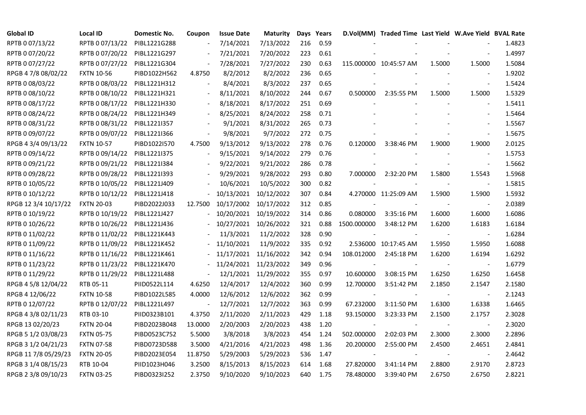| <b>Global ID</b>     | <b>Local ID</b>   | Domestic No. | Coupon                   | <b>Issue Date</b> | Maturity              |     | Days Years |             | D.Vol(MM) Traded Time Last Yield W.Ave Yield BVAL Rate |        |                          |        |
|----------------------|-------------------|--------------|--------------------------|-------------------|-----------------------|-----|------------|-------------|--------------------------------------------------------|--------|--------------------------|--------|
| RPTB 0 07/13/22      | RPTB 0 07/13/22   | PIBL1221G288 | $\overline{\phantom{a}}$ | 7/14/2021         | 7/13/2022             | 216 | 0.59       |             |                                                        |        |                          | 1.4823 |
| RPTB 0 07/20/22      | RPTB 0 07/20/22   | PIBL1221G297 |                          | 7/21/2021         | 7/20/2022             | 223 | 0.61       |             |                                                        |        |                          | 1.4997 |
| RPTB 0 07/27/22      | RPTB 0 07/27/22   | PIBL1221G304 | $\overline{\phantom{a}}$ | 7/28/2021         | 7/27/2022             | 230 | 0.63       |             | 115.000000 10:45:57 AM                                 | 1.5000 | 1.5000                   | 1.5084 |
| RPGB 4 7/8 08/02/22  | <b>FXTN 10-56</b> | PIBD1022H562 | 4.8750                   | 8/2/2012          | 8/2/2022              | 236 | 0.65       |             |                                                        |        |                          | 1.9202 |
| RPTB 0 08/03/22      | RPTB 0 08/03/22   | PIBL1221H312 | $\blacksquare$           | 8/4/2021          | 8/3/2022              | 237 | 0.65       |             |                                                        |        | $\overline{\phantom{a}}$ | 1.5424 |
| RPTB 0 08/10/22      | RPTB 0 08/10/22   | PIBL1221H321 | $\overline{\phantom{a}}$ | 8/11/2021         | 8/10/2022             | 244 | 0.67       | 0.500000    | 2:35:55 PM                                             | 1.5000 | 1.5000                   | 1.5329 |
| RPTB 0 08/17/22      | RPTB 0 08/17/22   | PIBL1221H330 |                          | 8/18/2021         | 8/17/2022             | 251 | 0.69       |             |                                                        |        |                          | 1.5411 |
| RPTB 0 08/24/22      | RPTB 0 08/24/22   | PIBL1221H349 |                          | 8/25/2021         | 8/24/2022             | 258 | 0.71       |             |                                                        |        |                          | 1.5464 |
| RPTB 0 08/31/22      | RPTB 0 08/31/22   | PIBL1221I357 |                          | 9/1/2021          | 8/31/2022             | 265 | 0.73       |             |                                                        |        |                          | 1.5567 |
| RPTB 0 09/07/22      | RPTB 0 09/07/22   | PIBL1221I366 | $\blacksquare$           | 9/8/2021          | 9/7/2022              | 272 | 0.75       |             |                                                        |        | $\overline{\phantom{a}}$ | 1.5675 |
| RPGB 4 3/4 09/13/22  | <b>FXTN 10-57</b> | PIBD1022I570 | 4.7500                   | 9/13/2012         | 9/13/2022             | 278 | 0.76       | 0.120000    | 3:38:46 PM                                             | 1.9000 | 1.9000                   | 2.0125 |
| RPTB 0 09/14/22      | RPTB 0 09/14/22   | PIBL1221I375 | $\blacksquare$           | 9/15/2021         | 9/14/2022             | 279 | 0.76       |             |                                                        |        | $\overline{\phantom{a}}$ | 1.5753 |
| RPTB 0 09/21/22      | RPTB 0 09/21/22   | PIBL1221I384 |                          | 9/22/2021         | 9/21/2022             | 286 | 0.78       |             |                                                        |        | $\blacksquare$           | 1.5662 |
| RPTB 0 09/28/22      | RPTB 0 09/28/22   | PIBL1221I393 |                          | 9/29/2021         | 9/28/2022             | 293 | 0.80       | 7.000000    | 2:32:20 PM                                             | 1.5800 | 1.5543                   | 1.5968 |
| RPTB 0 10/05/22      | RPTB 0 10/05/22   | PIBL1221J409 |                          | 10/6/2021         | 10/5/2022             | 300 | 0.82       |             |                                                        |        | $\blacksquare$           | 1.5815 |
| RPTB 0 10/12/22      | RPTB 0 10/12/22   | PIBL1221J418 |                          | 10/13/2021        | 10/12/2022            | 307 | 0.84       |             | 4.270000 11:25:09 AM                                   | 1.5900 | 1.5900                   | 1.5932 |
| RPGB 12 3/4 10/17/22 | <b>FXTN 20-03</b> | PIBD2022J033 | 12.7500                  |                   | 10/17/2002 10/17/2022 | 312 | 0.85       |             |                                                        |        |                          | 2.0389 |
| RPTB 0 10/19/22      | RPTB 0 10/19/22   | PIBL1221J427 | $\overline{\phantom{0}}$ |                   | 10/20/2021 10/19/2022 | 314 | 0.86       | 0.080000    | 3:35:16 PM                                             | 1.6000 | 1.6000                   | 1.6086 |
| RPTB 0 10/26/22      | RPTB 0 10/26/22   | PIBL1221J436 |                          |                   | 10/27/2021 10/26/2022 | 321 | 0.88       | 1500.000000 | 3:48:12 PM                                             | 1.6200 | 1.6183                   | 1.6184 |
| RPTB 0 11/02/22      | RPTB 0 11/02/22   | PIBL1221K443 |                          | 11/3/2021         | 11/2/2022             | 328 | 0.90       |             |                                                        |        | $\blacksquare$           | 1.6284 |
| RPTB 0 11/09/22      | RPTB 0 11/09/22   | PIBL1221K452 |                          | 11/10/2021        | 11/9/2022             | 335 | 0.92       |             | 2.536000 10:17:45 AM                                   | 1.5950 | 1.5950                   | 1.6088 |
| RPTB 0 11/16/22      | RPTB 0 11/16/22   | PIBL1221K461 |                          | 11/17/2021        | 11/16/2022            | 342 | 0.94       | 108.012000  | 2:45:18 PM                                             | 1.6200 | 1.6194                   | 1.6292 |
| RPTB 0 11/23/22      | RPTB 0 11/23/22   | PIBL1221K470 |                          |                   | 11/24/2021 11/23/2022 | 349 | 0.96       |             |                                                        |        |                          | 1.6779 |
| RPTB 0 11/29/22      | RPTB 0 11/29/22   | PIBL1221L488 | $\overline{\phantom{a}}$ | 12/1/2021         | 11/29/2022            | 355 | 0.97       | 10.600000   | 3:08:15 PM                                             | 1.6250 | 1.6250                   | 1.6458 |
| RPGB 4 5/8 12/04/22  | RTB 05-11         | PIID0522L114 | 4.6250                   | 12/4/2017         | 12/4/2022             | 360 | 0.99       | 12.700000   | 3:51:42 PM                                             | 2.1850 | 2.1547                   | 2.1580 |
| RPGB 4 12/06/22      | <b>FXTN 10-58</b> | PIBD1022L585 | 4.0000                   | 12/6/2012         | 12/6/2022             | 362 | 0.99       |             |                                                        |        | $\overline{\phantom{a}}$ | 2.1243 |
| RPTB 0 12/07/22      | RPTB 0 12/07/22   | PIBL1221L497 | $\overline{\phantom{a}}$ | 12/7/2021         | 12/7/2022             | 363 | 0.99       | 67.232000   | 3:11:50 PM                                             | 1.6300 | 1.6338                   | 1.6465 |
| RPGB 4 3/8 02/11/23  | RTB 03-10         | PIID0323B101 | 4.3750                   | 2/11/2020         | 2/11/2023             | 429 | 1.18       | 93.150000   | 3:23:33 PM                                             | 2.1500 | 2.1757                   | 2.3028 |
| RPGB 13 02/20/23     | <b>FXTN 20-04</b> | PIBD2023B048 | 13.0000                  | 2/20/2003         | 2/20/2023             | 438 | 1.20       |             |                                                        |        | $\overline{\phantom{a}}$ | 2.3020 |
| RPGB 5 1/2 03/08/23  | <b>FXTN 05-75</b> | PIBD0523C752 | 5.5000                   | 3/8/2018          | 3/8/2023              | 454 | 1.24       | 502.000000  | 2:02:03 PM                                             | 2.3000 | 2.3000                   | 2.2896 |
| RPGB 3 1/2 04/21/23  | <b>FXTN 07-58</b> | PIBD0723D588 | 3.5000                   | 4/21/2016         | 4/21/2023             | 498 | 1.36       | 20.200000   | 2:55:00 PM                                             | 2.4500 | 2.4651                   | 2.4841 |
| RPGB 11 7/8 05/29/23 | <b>FXTN 20-05</b> | PIBD2023E054 | 11.8750                  | 5/29/2003         | 5/29/2023             | 536 | 1.47       |             |                                                        |        |                          | 2.4642 |
| RPGB 3 1/4 08/15/23  | RTB 10-04         | PIID1023H046 | 3.2500                   | 8/15/2013         | 8/15/2023             | 614 | 1.68       | 27.820000   | 3:41:14 PM                                             | 2.8800 | 2.9170                   | 2.8723 |
| RPGB 2 3/8 09/10/23  | <b>FXTN 03-25</b> | PIBD0323I252 | 2.3750                   | 9/10/2020         | 9/10/2023             | 640 | 1.75       | 78.480000   | 3:39:40 PM                                             | 2.6750 | 2.6750                   | 2.8221 |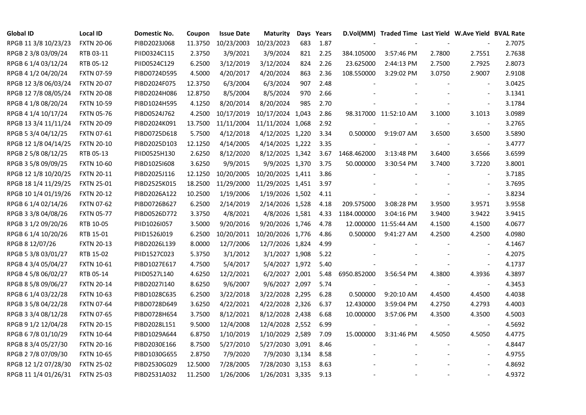| <b>Global ID</b>     | <b>Local ID</b>   | Domestic No. | Coupon  | <b>Issue Date</b> | <b>Maturity</b>  |     | Days Years |             | D.Vol(MM) Traded Time Last Yield W.Ave Yield BVAL Rate |        |                          |        |
|----------------------|-------------------|--------------|---------|-------------------|------------------|-----|------------|-------------|--------------------------------------------------------|--------|--------------------------|--------|
| RPGB 11 3/8 10/23/23 | <b>FXTN 20-06</b> | PIBD2023J068 | 11.3750 | 10/23/2003        | 10/23/2023       | 683 | 1.87       |             |                                                        |        |                          | 2.7075 |
| RPGB 2 3/8 03/09/24  | RTB 03-11         | PIID0324C115 | 2.3750  | 3/9/2021          | 3/9/2024         | 821 | 2.25       | 384.105000  | 3:57:46 PM                                             | 2.7800 | 2.7551                   | 2.7638 |
| RPGB 6 1/4 03/12/24  | RTB 05-12         | PIID0524C129 | 6.2500  | 3/12/2019         | 3/12/2024        | 824 | 2.26       | 23.625000   | 2:44:13 PM                                             | 2.7500 | 2.7925                   | 2.8073 |
| RPGB 4 1/2 04/20/24  | <b>FXTN 07-59</b> | PIBD0724D595 | 4.5000  | 4/20/2017         | 4/20/2024        | 863 | 2.36       | 108.550000  | 3:29:02 PM                                             | 3.0750 | 2.9007                   | 2.9108 |
| RPGB 12 3/8 06/03/24 | <b>FXTN 20-07</b> | PIBD2024F075 | 12.3750 | 6/3/2004          | 6/3/2024         | 907 | 2.48       |             |                                                        |        | $\blacksquare$           | 3.0425 |
| RPGB 12 7/8 08/05/24 | <b>FXTN 20-08</b> | PIBD2024H086 | 12.8750 | 8/5/2004          | 8/5/2024         | 970 | 2.66       |             |                                                        |        | $\blacksquare$           | 3.1341 |
| RPGB 4 1/8 08/20/24  | <b>FXTN 10-59</b> | PIBD1024H595 | 4.1250  | 8/20/2014         | 8/20/2024        | 985 | 2.70       |             |                                                        |        | $\blacksquare$           | 3.1784 |
| RPGB 4 1/4 10/17/24  | <b>FXTN 05-76</b> | PIBD0524J762 | 4.2500  | 10/17/2019        | 10/17/2024 1,043 |     | 2.86       |             | 98.317000 11:52:10 AM                                  | 3.1000 | 3.1013                   | 3.0989 |
| RPGB 13 3/4 11/11/24 | <b>FXTN 20-09</b> | PIBD2024K091 | 13.7500 | 11/11/2004        | 11/11/2024 1,068 |     | 2.92       |             |                                                        |        |                          | 3.2765 |
| RPGB 5 3/4 04/12/25  | <b>FXTN 07-61</b> | PIBD0725D618 | 5.7500  | 4/12/2018         | 4/12/2025 1,220  |     | 3.34       | 0.500000    | 9:19:07 AM                                             | 3.6500 | 3.6500                   | 3.5890 |
| RPGB 12 1/8 04/14/25 | <b>FXTN 20-10</b> | PIBD2025D103 | 12.1250 | 4/14/2005         | 4/14/2025 1,222  |     | 3.35       |             |                                                        |        | $\blacksquare$           | 3.4777 |
| RPGB 2 5/8 08/12/25  | RTB 05-13         | PIID0525H130 | 2.6250  | 8/12/2020         | 8/12/2025 1,342  |     | 3.67       | 1468.462000 | 3:13:48 PM                                             | 3.6400 | 3.6566                   | 3.6599 |
| RPGB 3 5/8 09/09/25  | <b>FXTN 10-60</b> | PIBD10251608 | 3.6250  | 9/9/2015          | 9/9/2025 1,370   |     | 3.75       | 50.000000   | 3:30:54 PM                                             | 3.7400 | 3.7220                   | 3.8001 |
| RPGB 12 1/8 10/20/25 | <b>FXTN 20-11</b> | PIBD2025J116 | 12.1250 | 10/20/2005        | 10/20/2025 1,411 |     | 3.86       |             |                                                        |        | $\blacksquare$           | 3.7185 |
| RPGB 18 1/4 11/29/25 | <b>FXTN 25-01</b> | PIBD2525K015 | 18.2500 | 11/29/2000        | 11/29/2025 1,451 |     | 3.97       |             |                                                        |        | $\blacksquare$           | 3.7695 |
| RPGB 10 1/4 01/19/26 | <b>FXTN 20-12</b> | PIBD2026A122 | 10.2500 | 1/19/2006         | 1/19/2026 1,502  |     | 4.11       |             |                                                        |        | $\sim$                   | 3.8234 |
| RPGB 6 1/4 02/14/26  | <b>FXTN 07-62</b> | PIBD0726B627 | 6.2500  | 2/14/2019         | 2/14/2026 1,528  |     | 4.18       | 209.575000  | 3:08:28 PM                                             | 3.9500 | 3.9571                   | 3.9558 |
| RPGB 3 3/8 04/08/26  | <b>FXTN 05-77</b> | PIBD0526D772 | 3.3750  | 4/8/2021          | 4/8/2026 1,581   |     | 4.33       | 1184.000000 | 3:04:16 PM                                             | 3.9400 | 3.9422                   | 3.9415 |
| RPGB 3 1/2 09/20/26  | RTB 10-05         | PIID1026I057 | 3.5000  | 9/20/2016         | 9/20/2026 1,746  |     | 4.78       | 12.000000   | 11:55:44 AM                                            | 4.1500 | 4.1500                   | 4.0677 |
| RPGB 6 1/4 10/20/26  | RTB 15-01         | PIID1526J019 | 6.2500  | 10/20/2011        | 10/20/2026 1,776 |     | 4.86       | 0.500000    | 9:41:27 AM                                             | 4.2500 | 4.2500                   | 4.0980 |
| RPGB 8 12/07/26      | <b>FXTN 20-13</b> | PIBD2026L139 | 8.0000  | 12/7/2006         | 12/7/2026 1,824  |     | 4.99       |             |                                                        |        | $\sim$                   | 4.1467 |
| RPGB 5 3/8 03/01/27  | RTB 15-02         | PIID1527C023 | 5.3750  | 3/1/2012          | 3/1/2027 1,908   |     | 5.22       |             |                                                        |        |                          | 4.2075 |
| RPGB 4 3/4 05/04/27  | <b>FXTN 10-61</b> | PIBD1027E617 | 4.7500  | 5/4/2017          | 5/4/2027 1,972   |     | 5.40       |             |                                                        |        | $\overline{\phantom{a}}$ | 4.1737 |
| RPGB 4 5/8 06/02/27  | RTB 05-14         | PIID0527L140 | 4.6250  | 12/2/2021         | 6/2/2027 2,001   |     | 5.48       | 6950.852000 | 3:56:54 PM                                             | 4.3800 | 4.3936                   | 4.3897 |
| RPGB 8 5/8 09/06/27  | <b>FXTN 20-14</b> | PIBD2027I140 | 8.6250  | 9/6/2007          | 9/6/2027 2,097   |     | 5.74       |             |                                                        |        | $\blacksquare$           | 4.3453 |
| RPGB 6 1/4 03/22/28  | <b>FXTN 10-63</b> | PIBD1028C635 | 6.2500  | 3/22/2018         | 3/22/2028 2,295  |     | 6.28       | 0.500000    | 9:20:10 AM                                             | 4.4500 | 4.4500                   | 4.4038 |
| RPGB 3 5/8 04/22/28  | <b>FXTN 07-64</b> | PIBD0728D649 | 3.6250  | 4/22/2021         | 4/22/2028 2,326  |     | 6.37       | 12.430000   | 3:59:04 PM                                             | 4.2750 | 4.2793                   | 4.4003 |
| RPGB 3 3/4 08/12/28  | <b>FXTN 07-65</b> | PIBD0728H654 | 3.7500  | 8/12/2021         | 8/12/2028 2,438  |     | 6.68       | 10.000000   | 3:57:06 PM                                             | 4.3500 | 4.3500                   | 4.5003 |
| RPGB 9 1/2 12/04/28  | <b>FXTN 20-15</b> | PIBD2028L151 | 9.5000  | 12/4/2008         | 12/4/2028 2,552  |     | 6.99       |             |                                                        |        | $\overline{\phantom{a}}$ | 4.5692 |
| RPGB 67/8 01/10/29   | <b>FXTN 10-64</b> | PIBD1029A644 | 6.8750  | 1/10/2019         | 1/10/2029 2,589  |     | 7.09       | 15.000000   | 3:31:46 PM                                             | 4.5050 | 4.5050                   | 4.4775 |
| RPGB 8 3/4 05/27/30  | <b>FXTN 20-16</b> | PIBD2030E166 | 8.7500  | 5/27/2010         | 5/27/2030 3,091  |     | 8.46       |             |                                                        |        | $\overline{\phantom{a}}$ | 4.8447 |
| RPGB 2 7/8 07/09/30  | <b>FXTN 10-65</b> | PIBD1030G655 | 2.8750  | 7/9/2020          | 7/9/2030 3,134   |     | 8.58       |             |                                                        |        | $\mathbf{r}$             | 4.9755 |
| RPGB 12 1/2 07/28/30 | <b>FXTN 25-02</b> | PIBD2530G029 | 12.5000 | 7/28/2005         | 7/28/2030 3,153  |     | 8.63       |             |                                                        |        |                          | 4.8692 |
| RPGB 11 1/4 01/26/31 | <b>FXTN 25-03</b> | PIBD2531A032 | 11.2500 | 1/26/2006         | 1/26/2031 3,335  |     | 9.13       |             |                                                        |        | $\mathbf{r}$             | 4.9372 |